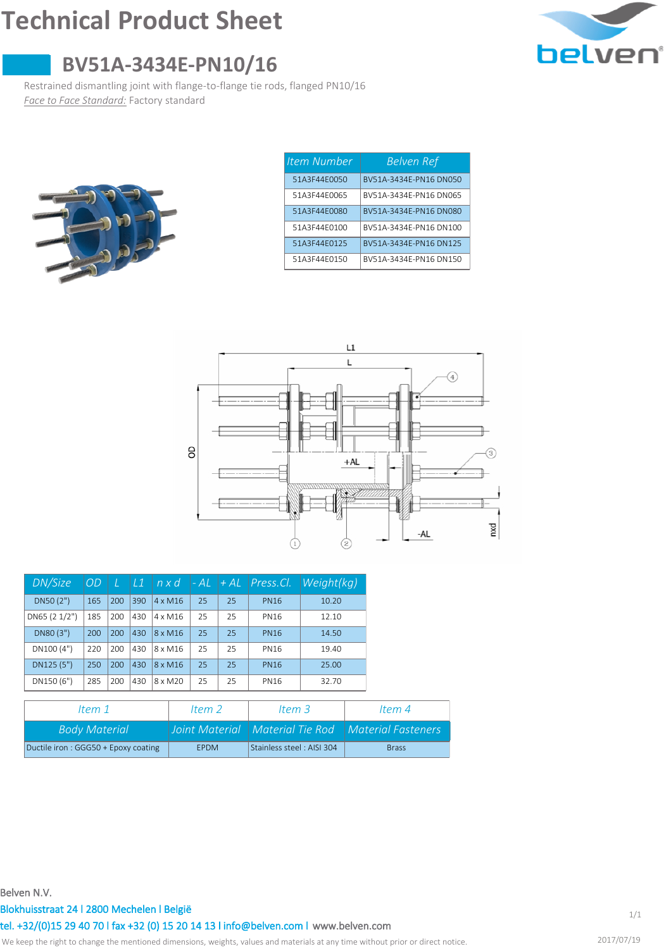## **Technical Product Sheet**



## **BV51A-3434E-PN10/16**

Restrained dismantling joint with flange-to-flange tie rods, flanged PN10/16 *Face to Face Standard:* Factory standard



| Item Number  | <b>Belven Ref</b>      |
|--------------|------------------------|
| 51A3F44F0050 | BV51A-3434F-PN16 DN050 |
| 51A3F44F0065 | BV51A-3434F-PN16 DN065 |
| 51A3F44F0080 | BV51A-3434F-PN16 DN080 |
| 51A3F44F0100 | BV51A-3434F-PN16 DN100 |
| 51A3F44F0125 | BV51A-3434F-PN16 DN125 |
| 51A3F44F0150 | BV51A-3434F-PN16 DN150 |



| DN/Size       | <i>OD</i> | L   | $\perp$ 1 | nxd            |    | $-AL$ $+AL$ | $Press$ . Cl. | Weight(kg) |
|---------------|-----------|-----|-----------|----------------|----|-------------|---------------|------------|
| DN50(2")      | 165       | 200 | 390       | $4 \times M16$ | 25 | 25          | <b>PN16</b>   | 10.20      |
| DN65 (2 1/2") | 185       | 200 | 430       | $4 \times M16$ | 25 | 25          | <b>PN16</b>   | 12.10      |
| DN80 (3")     | 200       | 200 | 430       | 8 x M16        | 25 | 25          | <b>PN16</b>   | 14.50      |
| DN100(4")     | 220       | 200 | 430       | 8 x M16        | 25 | 25          | <b>PN16</b>   | 19.40      |
| DN125 (5")    | 250       | 200 | 430       | 8 x M16        | 25 | 25          | <b>PN16</b>   | 25.00      |
| DN150 (6")    | 285       | 200 | 430       | 8 x M20        | 25 | 25          | <b>PN16</b>   | 32.70      |

| Item 1                              | Item $2$    | Item $3$                  | Item $4$                                               |
|-------------------------------------|-------------|---------------------------|--------------------------------------------------------|
| <b>Body Material</b>                |             |                           | Joint Material   Material Tie Rod   Material Fasteners |
| Ductile iron: GGG50 + Epoxy coating | <b>FPDM</b> | Stainless steel: AISI 304 | <b>Brass</b>                                           |

**Belven N.V.**

**Blokhuisstraat 24 l 2800 Mechelen l België**

**[www.belven.com](http://www.belven.com) tel. +32/(0)15 29 40 70 l fax +32 (0) 15 20 14 13 l info@belven.com l**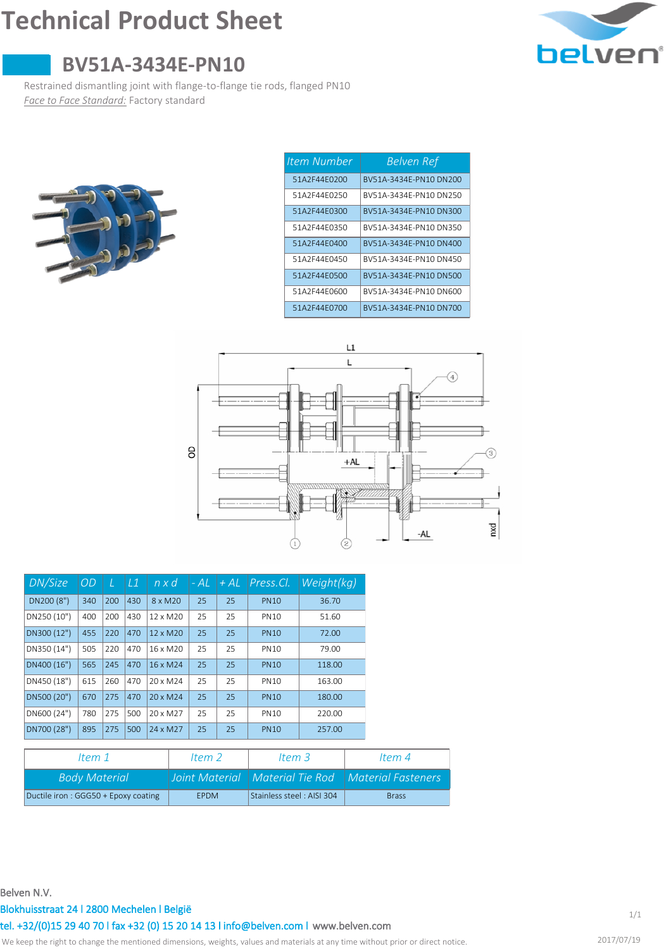# **Technical Product Sheet**



## **BV51A-3434E-PN10**

Restrained dismantling joint with flange-to-flange tie rods, flanged PN10 *Face to Face Standard:* Factory standard



| <b>Item Number</b> | <b>Belven Ref</b>      |
|--------------------|------------------------|
| 51A2F44F0200       | BV51A-3434F-PN10 DN200 |
| 51A2F44F0250       | BV51A-3434F-PN10 DN250 |
| 51A2F44F0300       | BV51A-3434F-PN10 DN300 |
| 51A2F44F0350       | BV51A-3434F-PN10 DN350 |
| 51A2F44F0400       | BV51A-3434F-PN10 DN400 |
| 51A2F44F0450       | BV51A-3434F-PN10 DN450 |
| 51A2F44F0500       | BV51A-3434F-PN10 DN500 |
| 51A2F44F0600       | BV51A-3434F-PN10 DN600 |
| 51A2F44F0700       | BV51A-3434F-PN10 DN700 |



| DN/Size     | OD  |     | L1  | $n \times d$         | - AL | $+AL$ | Press.Cl.   | Weight(kg) |
|-------------|-----|-----|-----|----------------------|------|-------|-------------|------------|
| DN200 (8")  | 340 | 200 | 430 | 8 x M20              | 25   | 25    | <b>PN10</b> | 36.70      |
| DN250 (10") | 400 | 200 | 430 | 12 x M <sub>20</sub> | 25   | 25    | <b>PN10</b> | 51.60      |
| DN300 (12") | 455 | 220 | 470 | $12 \times M20$      | 25   | 25    | <b>PN10</b> | 72.00      |
| DN350 (14") | 505 | 220 | 470 | 16 x M20             | 25   | 25    | <b>PN10</b> | 79.00      |
| DN400 (16") | 565 | 245 | 470 | 16 x M24             | 25   | 25    | <b>PN10</b> | 118.00     |
| DN450 (18") | 615 | 260 | 470 | 20 x M <sub>24</sub> | 25   | 25    | <b>PN10</b> | 163.00     |
| DN500 (20") | 670 | 275 | 470 | 20 x M <sub>24</sub> | 25   | 25    | <b>PN10</b> | 180.00     |
| DN600 (24") | 780 | 275 | 500 | 20 x M27             | 25   | 25    | <b>PN10</b> | 220.00     |
| DN700 (28") | 895 | 275 | 500 | 24 x M27             | 25   | 25    | <b>PN10</b> | 257.00     |

| ltem 1                              | Item $2$    | Item $3$                  | Item $4$                                               |
|-------------------------------------|-------------|---------------------------|--------------------------------------------------------|
| <b>Body Material</b>                |             |                           | Joint Material   Material Tie Rod   Material Fasteners |
| Ductile iron: GGG50 + Epoxy coating | <b>FPDM</b> | Stainless steel: AISI 304 | <b>Brass</b>                                           |

#### **Belven N.V.**

### **Blokhuisstraat 24 l 2800 Mechelen l België**

**[www.belven.com](http://www.belven.com) tel. +32/(0)15 29 40 70 l fax +32 (0) 15 20 14 13 l info@belven.com l**